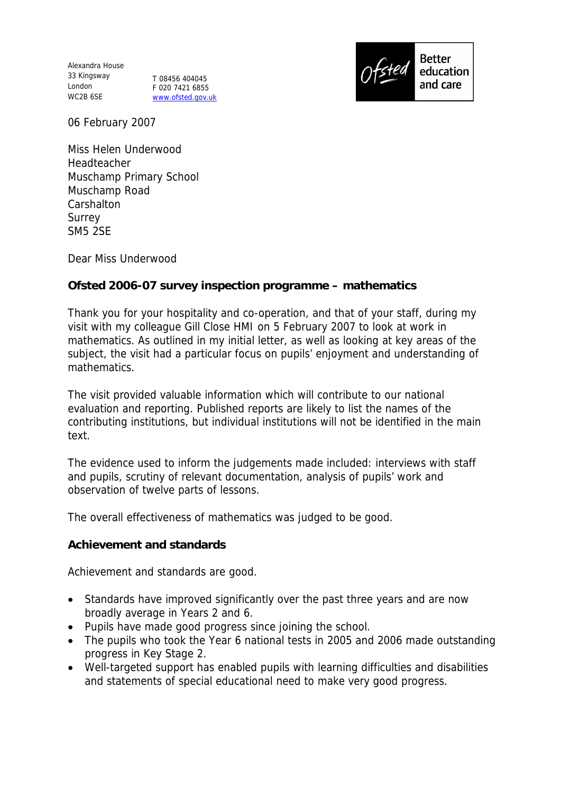Alexandra House 33 Kingsway London T 08456 404045 WC2B 6SE

F 020 7421 6855 www.ofsted.gov.uk



06 February 2007

Miss Helen Underwood Headteacher Muschamp Primary School Muschamp Road **Carshalton** Surrey SM5 2SE

Dear Miss Underwood

## **Ofsted 2006-07 survey inspection programme – mathematics**

Thank you for your hospitality and co-operation, and that of your staff, during my visit with my colleague Gill Close HMI on 5 February 2007 to look at work in mathematics. As outlined in my initial letter, as well as looking at key areas of the subject, the visit had a particular focus on pupils' enjoyment and understanding of mathematics.

The visit provided valuable information which will contribute to our national evaluation and reporting. Published reports are likely to list the names of the contributing institutions, but individual institutions will not be identified in the main text.

The evidence used to inform the judgements made included: interviews with staff and pupils, scrutiny of relevant documentation, analysis of pupils' work and observation of twelve parts of lessons.

The overall effectiveness of mathematics was judged to be good.

**Achievement and standards**

Achievement and standards are good.

- Standards have improved significantly over the past three years and are now broadly average in Years 2 and 6.
- Pupils have made good progress since joining the school.
- The pupils who took the Year 6 national tests in 2005 and 2006 made outstanding progress in Key Stage 2.
- Well-targeted support has enabled pupils with learning difficulties and disabilities and statements of special educational need to make very good progress.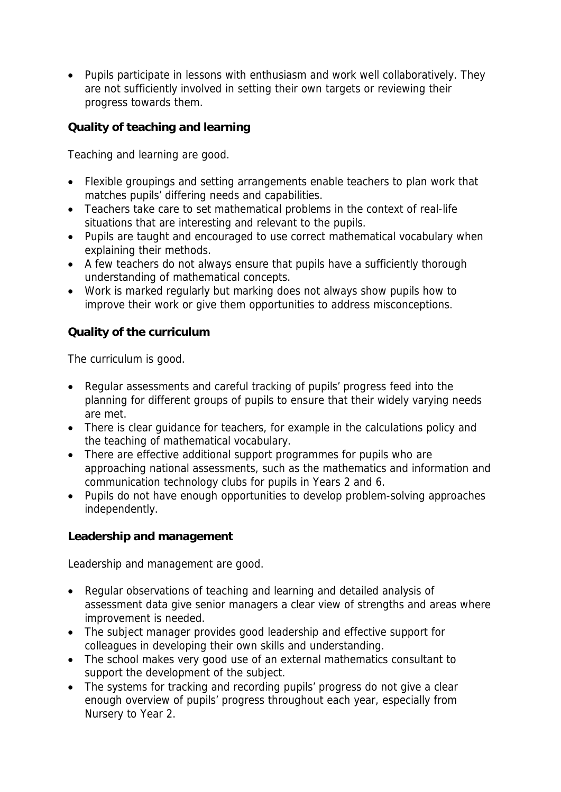Pupils participate in lessons with enthusiasm and work well collaboratively. They are not sufficiently involved in setting their own targets or reviewing their progress towards them.

**Quality of teaching and learning**

Teaching and learning are good.

- Flexible groupings and setting arrangements enable teachers to plan work that matches pupils' differing needs and capabilities.
- Teachers take care to set mathematical problems in the context of real-life situations that are interesting and relevant to the pupils.
- Pupils are taught and encouraged to use correct mathematical vocabulary when explaining their methods.
- A few teachers do not always ensure that pupils have a sufficiently thorough understanding of mathematical concepts.
- Work is marked regularly but marking does not always show pupils how to improve their work or give them opportunities to address misconceptions.

**Quality of the curriculum** 

The curriculum is good.

- Regular assessments and careful tracking of pupils' progress feed into the planning for different groups of pupils to ensure that their widely varying needs are met.
- There is clear quidance for teachers, for example in the calculations policy and the teaching of mathematical vocabulary.
- There are effective additional support programmes for pupils who are approaching national assessments, such as the mathematics and information and communication technology clubs for pupils in Years 2 and 6.
- Pupils do not have enough opportunities to develop problem-solving approaches independently.

**Leadership and management**

Leadership and management are good.

- Regular observations of teaching and learning and detailed analysis of assessment data give senior managers a clear view of strengths and areas where improvement is needed.
- The subject manager provides good leadership and effective support for colleagues in developing their own skills and understanding.
- The school makes very good use of an external mathematics consultant to support the development of the subject.
- The systems for tracking and recording pupils' progress do not give a clear enough overview of pupils' progress throughout each year, especially from Nursery to Year 2.